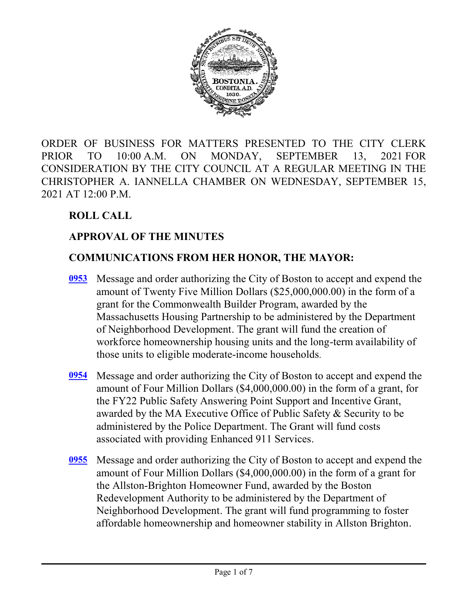

ORDER OF BUSINESS FOR MATTERS PRESENTED TO THE CITY CLERK PRIOR TO 10:00 A.M. ON MONDAY, SEPTEMBER 13, 2021 FOR CONSIDERATION BY THE CITY COUNCIL AT A REGULAR MEETING IN THE CHRISTOPHER A. IANNELLA CHAMBER ON WEDNESDAY, SEPTEMBER 15, 2021 AT 12:00 P.M.

# **ROLL CALL**

# **APPROVAL OF THE MINUTES**

#### **COMMUNICATIONS FROM HER HONOR, THE MAYOR:**

- Message and order authorizing the City of Boston to accept and expend the amount of Twenty Five Million Dollars (\$25,000,000.00) in the form of a grant for the Commonwealth Builder Program, awarded by the Massachusetts Housing Partnership to be administered by the Department of Neighborhood Development. The grant will fund the creation of workforce homeownership housing units and the long-term availability of those units to eligible moderate-income households. **[0953](http://boston.legistar.com/gateway.aspx?m=l&id=/matter.aspx?key=4745)**
- Message and order authorizing the City of Boston to accept and expend the amount of Four Million Dollars (\$4,000,000.00) in the form of a grant, for the FY22 Public Safety Answering Point Support and Incentive Grant, awarded by the MA Executive Office of Public Safety & Security to be administered by the Police Department. The Grant will fund costs associated with providing Enhanced 911 Services. **[0954](http://boston.legistar.com/gateway.aspx?m=l&id=/matter.aspx?key=4778)**
- Message and order authorizing the City of Boston to accept and expend the **[0955](http://boston.legistar.com/gateway.aspx?m=l&id=/matter.aspx?key=4753)** amount of Four Million Dollars (\$4,000,000.00) in the form of a grant for the Allston-Brighton Homeowner Fund, awarded by the Boston Redevelopment Authority to be administered by the Department of Neighborhood Development. The grant will fund programming to foster affordable homeownership and homeowner stability in Allston Brighton.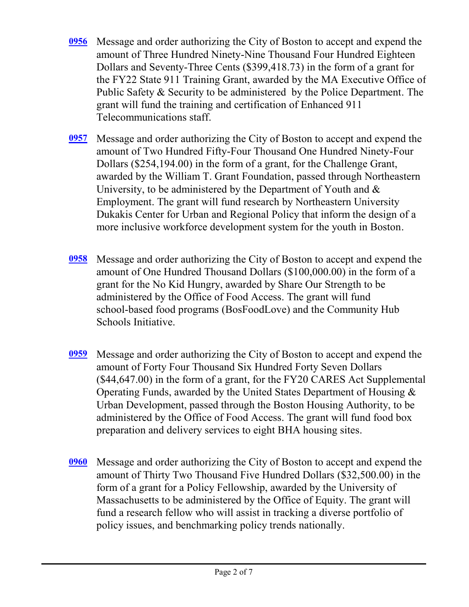- Message and order authorizing the City of Boston to accept and expend the amount of Three Hundred Ninety-Nine Thousand Four Hundred Eighteen Dollars and Seventy-Three Cents (\$399,418.73) in the form of a grant for the FY22 State 911 Training Grant, awarded by the MA Executive Office of Public Safety & Security to be administered by the Police Department. The grant will fund the training and certification of Enhanced 911 Telecommunications staff. **[0956](http://boston.legistar.com/gateway.aspx?m=l&id=/matter.aspx?key=4752)**
- Message and order authorizing the City of Boston to accept and expend the amount of Two Hundred Fifty-Four Thousand One Hundred Ninety-Four Dollars (\$254,194.00) in the form of a grant, for the Challenge Grant, awarded by the William T. Grant Foundation, passed through Northeastern University, to be administered by the Department of Youth and  $\&$ Employment. The grant will fund research by Northeastern University Dukakis Center for Urban and Regional Policy that inform the design of a more inclusive workforce development system for the youth in Boston. **[0957](http://boston.legistar.com/gateway.aspx?m=l&id=/matter.aspx?key=4754)**
- Message and order authorizing the City of Boston to accept and expend the amount of One Hundred Thousand Dollars (\$100,000.00) in the form of a grant for the No Kid Hungry, awarded by Share Our Strength to be administered by the Office of Food Access. The grant will fund school-based food programs (BosFoodLove) and the Community Hub Schools Initiative. **[0958](http://boston.legistar.com/gateway.aspx?m=l&id=/matter.aspx?key=4755)**
- Message and order authorizing the City of Boston to accept and expend the amount of Forty Four Thousand Six Hundred Forty Seven Dollars (\$44,647.00) in the form of a grant, for the FY20 CARES Act Supplemental Operating Funds, awarded by the United States Department of Housing & Urban Development, passed through the Boston Housing Authority, to be administered by the Office of Food Access. The grant will fund food box preparation and delivery services to eight BHA housing sites. **[0959](http://boston.legistar.com/gateway.aspx?m=l&id=/matter.aspx?key=4756)**
- Message and order authorizing the City of Boston to accept and expend the amount of Thirty Two Thousand Five Hundred Dollars (\$32,500.00) in the form of a grant for a Policy Fellowship, awarded by the University of Massachusetts to be administered by the Office of Equity. The grant will fund a research fellow who will assist in tracking a diverse portfolio of policy issues, and benchmarking policy trends nationally. **[0960](http://boston.legistar.com/gateway.aspx?m=l&id=/matter.aspx?key=4757)**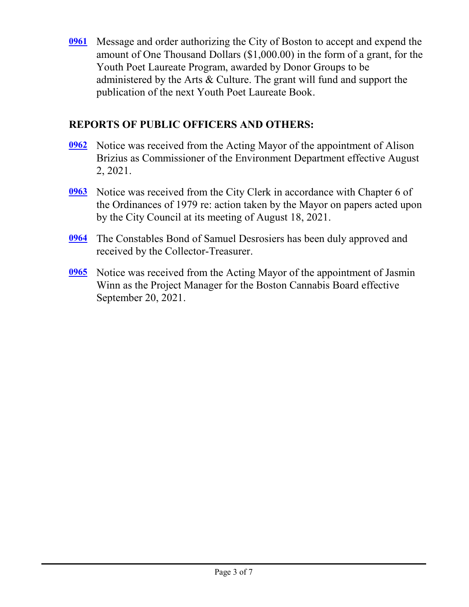Message and order authorizing the City of Boston to accept and expend the **[0961](http://boston.legistar.com/gateway.aspx?m=l&id=/matter.aspx?key=4758)** amount of One Thousand Dollars (\$1,000.00) in the form of a grant, for the Youth Poet Laureate Program, awarded by Donor Groups to be administered by the Arts & Culture. The grant will fund and support the publication of the next Youth Poet Laureate Book.

#### **REPORTS OF PUBLIC OFFICERS AND OTHERS:**

- [0962](http://boston.legistar.com/gateway.aspx?m=l&id=/matter.aspx?key=4547) Notice was received from the Acting Mayor of the appointment of Alison Brizius as Commissioner of the Environment Department effective August 2, 2021.
- [0963](http://boston.legistar.com/gateway.aspx?m=l&id=/matter.aspx?key=4775) Notice was received from the City Clerk in accordance with Chapter 6 of the Ordinances of 1979 re: action taken by the Mayor on papers acted upon by the City Council at its meeting of August 18, 2021.
- The Constables Bond of Samuel Desrosiers has been duly approved and received by the Collector-Treasurer. **[0964](http://boston.legistar.com/gateway.aspx?m=l&id=/matter.aspx?key=4783)**
- [0965](http://boston.legistar.com/gateway.aspx?m=l&id=/matter.aspx?key=4786) Notice was received from the Acting Mayor of the appointment of Jasmin Winn as the Project Manager for the Boston Cannabis Board effective September 20, 2021.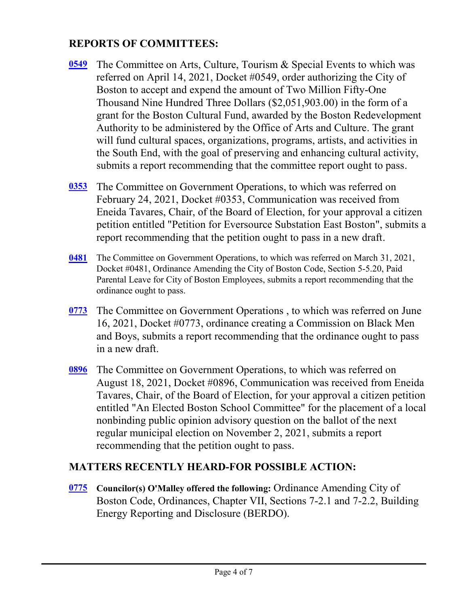# **REPORTS OF COMMITTEES:**

- The Committee on Arts, Culture, Tourism & Special Events to which was referred on April 14, 2021, Docket #0549, order authorizing the City of Boston to accept and expend the amount of Two Million Fifty-One Thousand Nine Hundred Three Dollars (\$2,051,903.00) in the form of a grant for the Boston Cultural Fund, awarded by the Boston Redevelopment Authority to be administered by the Office of Arts and Culture. The grant will fund cultural spaces, organizations, programs, artists, and activities in the South End, with the goal of preserving and enhancing cultural activity, submits a report recommending that the committee report ought to pass. **[0549](http://boston.legistar.com/gateway.aspx?m=l&id=/matter.aspx?key=4555)**
- [0353](http://boston.legistar.com/gateway.aspx?m=l&id=/matter.aspx?key=4656) The Committee on Government Operations, to which was referred on February 24, 2021, Docket #0353, Communication was received from Eneida Tavares, Chair, of the Board of Election, for your approval a citizen petition entitled "Petition for Eversource Substation East Boston", submits a report recommending that the petition ought to pass in a new draft.
- The Committee on Government Operations, to which was referred on March 31, 2021, Docket #0481, Ordinance Amending the City of Boston Code, Section 5-5.20, Paid Parental Leave for City of Boston Employees, submits a report recommending that the ordinance ought to pass. **[0481](http://boston.legistar.com/gateway.aspx?m=l&id=/matter.aspx?key=4671)**
- The Committee on Government Operations , to which was referred on June 16, 2021, Docket #0773, ordinance creating a Commission on Black Men and Boys, submits a report recommending that the ordinance ought to pass in a new draft. **[0773](http://boston.legistar.com/gateway.aspx?m=l&id=/matter.aspx?key=4781)**
- The Committee on Government Operations, to which was referred on **[0896](http://boston.legistar.com/gateway.aspx?m=l&id=/matter.aspx?key=3494)** August 18, 2021, Docket #0896, Communication was received from Eneida Tavares, Chair, of the Board of Election, for your approval a citizen petition entitled "An Elected Boston School Committee" for the placement of a local nonbinding public opinion advisory question on the ballot of the next regular municipal election on November 2, 2021, submits a report recommending that the petition ought to pass.

# **MATTERS RECENTLY HEARD-FOR POSSIBLE ACTION:**

**Councilor(s) O'Malley offered the following:** Ordinance Amending City of Boston Code, Ordinances, Chapter VII, Sections 7-2.1 and 7-2.2, Building Energy Reporting and Disclosure (BERDO). **[0775](http://boston.legistar.com/gateway.aspx?m=l&id=/matter.aspx?key=4720)**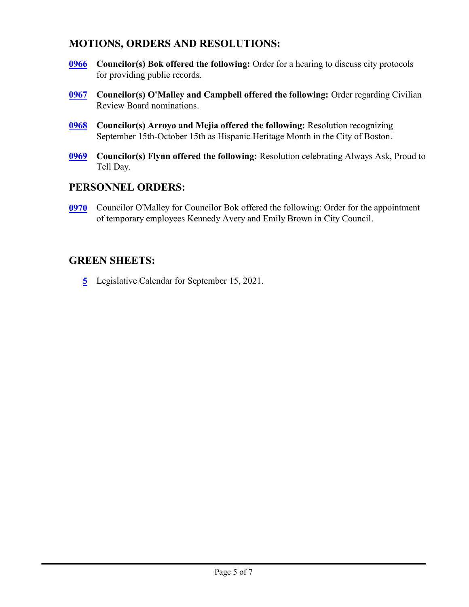#### **MOTIONS, ORDERS AND RESOLUTIONS:**

- **Councilor(s) Bok offered the following:** Order for a hearing to discuss city protocols for providing public records. **[0966](http://boston.legistar.com/gateway.aspx?m=l&id=/matter.aspx?key=4772)**
- **Councilor(s) O'Malley and Campbell offered the following:** Order regarding Civilian Review Board nominations. **[0967](http://boston.legistar.com/gateway.aspx?m=l&id=/matter.aspx?key=4780)**
- **Councilor(s) Arroyo and Mejia offered the following:** Resolution recognizing September 15th-October 15th as Hispanic Heritage Month in the City of Boston. **[0968](http://boston.legistar.com/gateway.aspx?m=l&id=/matter.aspx?key=4776)**
- **Councilor(s) Flynn offered the following:** Resolution celebrating Always Ask, Proud to Tell Day. **[0969](http://boston.legistar.com/gateway.aspx?m=l&id=/matter.aspx?key=4784)**

#### **PERSONNEL ORDERS:**

Councilor O'Malley for Councilor Bok offered the following: Order for the appointment of temporary employees Kennedy Avery and Emily Brown in City Council. **[0970](http://boston.legistar.com/gateway.aspx?m=l&id=/matter.aspx?key=4785)**

# **GREEN SHEETS:**

**[5](http://boston.legistar.com/gateway.aspx?m=l&id=/matter.aspx?key=4765)** Legislative Calendar for September 15, 2021.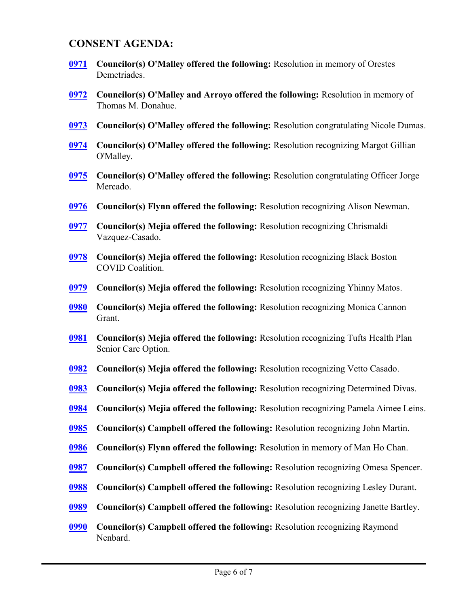#### **CONSENT AGENDA:**

- **Councilor(s) O'Malley offered the following:** Resolution in memory of Orestes Demetriades. **[0971](http://boston.legistar.com/gateway.aspx?m=l&id=/matter.aspx?key=4546)**
- **Councilor(s) O'Malley and Arroyo offered the following:** Resolution in memory of Thomas M. Donahue. **[0972](http://boston.legistar.com/gateway.aspx?m=l&id=/matter.aspx?key=4549)**
- **[0973](http://boston.legistar.com/gateway.aspx?m=l&id=/matter.aspx?key=4551) Councilor(s) O'Malley offered the following:** Resolution congratulating Nicole Dumas.
- **Councilor(s) O'Malley offered the following:** Resolution recognizing Margot Gillian O'Malley. **[0974](http://boston.legistar.com/gateway.aspx?m=l&id=/matter.aspx?key=4552)**
- **Councilor(s) O'Malley offered the following:** Resolution congratulating Officer Jorge Mercado. **[0975](http://boston.legistar.com/gateway.aspx?m=l&id=/matter.aspx?key=4572)**
- **[0976](http://boston.legistar.com/gateway.aspx?m=l&id=/matter.aspx?key=4577) Councilor(s) Flynn offered the following:** Resolution recognizing Alison Newman.
- **Councilor(s) Mejia offered the following:** Resolution recognizing Chrismaldi Vazquez-Casado. **[0977](http://boston.legistar.com/gateway.aspx?m=l&id=/matter.aspx?key=4578)**
- **Councilor(s) Mejia offered the following:** Resolution recognizing Black Boston COVID Coalition. **[0978](http://boston.legistar.com/gateway.aspx?m=l&id=/matter.aspx?key=4579)**
- **[0979](http://boston.legistar.com/gateway.aspx?m=l&id=/matter.aspx?key=4580) Councilor(s) Mejia offered the following:** Resolution recognizing Yhinny Matos.
- **Councilor(s) Mejia offered the following:** Resolution recognizing Monica Cannon Grant. **[0980](http://boston.legistar.com/gateway.aspx?m=l&id=/matter.aspx?key=4581)**
- **Councilor(s) Mejia offered the following:** Resolution recognizing Tufts Health Plan Senior Care Option. **[0981](http://boston.legistar.com/gateway.aspx?m=l&id=/matter.aspx?key=4582)**
- **[0982](http://boston.legistar.com/gateway.aspx?m=l&id=/matter.aspx?key=4583) Councilor(s) Mejia offered the following:** Resolution recognizing Vetto Casado.
- **[0983](http://boston.legistar.com/gateway.aspx?m=l&id=/matter.aspx?key=4584) Councilor(s) Mejia offered the following:** Resolution recognizing Determined Divas.
- **[0984](http://boston.legistar.com/gateway.aspx?m=l&id=/matter.aspx?key=4585) Councilor(s) Mejia offered the following:** Resolution recognizing Pamela Aimee Leins.
- **[0985](http://boston.legistar.com/gateway.aspx?m=l&id=/matter.aspx?key=4627) Councilor(s) Campbell offered the following:** Resolution recognizing John Martin.
- **[0986](http://boston.legistar.com/gateway.aspx?m=l&id=/matter.aspx?key=4764) Councilor(s) Flynn offered the following:** Resolution in memory of Man Ho Chan.
- **[0987](http://boston.legistar.com/gateway.aspx?m=l&id=/matter.aspx?key=4766) Councilor(s) Campbell offered the following:** Resolution recognizing Omesa Spencer.
- **[0988](http://boston.legistar.com/gateway.aspx?m=l&id=/matter.aspx?key=4767) Councilor(s) Campbell offered the following:** Resolution recognizing Lesley Durant.
- **[0989](http://boston.legistar.com/gateway.aspx?m=l&id=/matter.aspx?key=4768) Councilor(s) Campbell offered the following:** Resolution recognizing Janette Bartley.
- **Councilor(s) Campbell offered the following:** Resolution recognizing Raymond Nenbard. **[0990](http://boston.legistar.com/gateway.aspx?m=l&id=/matter.aspx?key=4769)**